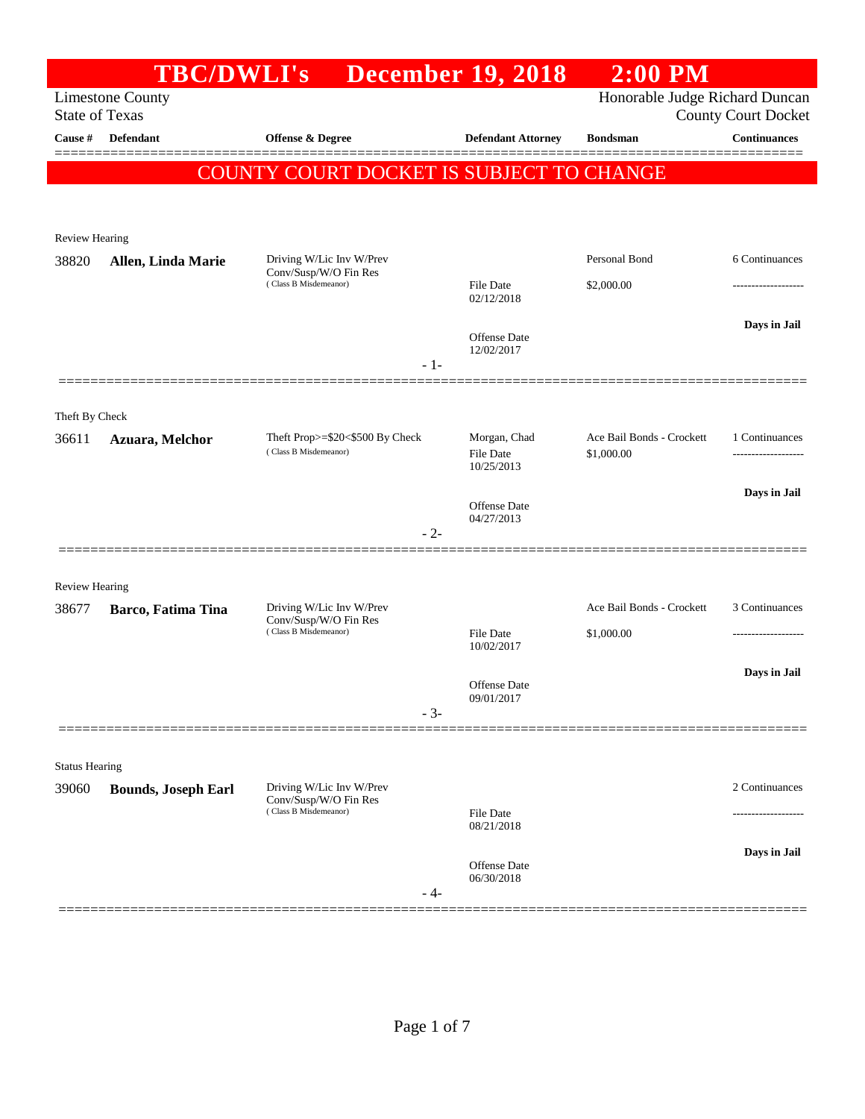|                       |                            | <b>TBC/DWLI's</b>                                        | <b>December 19, 2018</b>                       | $2:00$ PM                               |                                      |
|-----------------------|----------------------------|----------------------------------------------------------|------------------------------------------------|-----------------------------------------|--------------------------------------|
| <b>State of Texas</b> | <b>Limestone County</b>    |                                                          |                                                | Honorable Judge Richard Duncan          | <b>County Court Docket</b>           |
| Cause #               | <b>Defendant</b>           | <b>Offense &amp; Degree</b>                              | <b>Defendant Attorney</b>                      | <b>Bondsman</b>                         | <b>Continuances</b>                  |
|                       |                            | COUNTY COURT DOCKET IS SUBJECT TO CHANGE                 |                                                |                                         |                                      |
| <b>Review Hearing</b> |                            |                                                          |                                                |                                         |                                      |
| 38820                 | Allen, Linda Marie         | Driving W/Lic Inv W/Prev<br>Conv/Susp/W/O Fin Res        |                                                | Personal Bond                           | 6 Continuances                       |
|                       |                            | (Class B Misdemeanor)                                    | <b>File Date</b><br>02/12/2018                 | \$2,000.00                              |                                      |
|                       |                            |                                                          | <b>Offense Date</b><br>12/02/2017              |                                         | Days in Jail                         |
|                       |                            | $-1-$                                                    |                                                |                                         |                                      |
| Theft By Check        |                            |                                                          |                                                |                                         |                                      |
| 36611                 | Azuara, Melchor            | Theft Prop>=\$20<\$500 By Check<br>(Class B Misdemeanor) | Morgan, Chad<br><b>File Date</b><br>10/25/2013 | Ace Bail Bonds - Crockett<br>\$1,000.00 | 1 Continuances<br>------------------ |
|                       |                            |                                                          |                                                |                                         | Days in Jail                         |
|                       |                            | $-2-$                                                    | <b>Offense Date</b><br>04/27/2013              |                                         |                                      |
| <b>Review Hearing</b> |                            |                                                          |                                                |                                         |                                      |
| 38677                 | Barco, Fatima Tina         | Driving W/Lic Inv W/Prev<br>Conv/Susp/W/O Fin Res        |                                                | Ace Bail Bonds - Crockett               | 3 Continuances                       |
|                       |                            | (Class B Misdemeanor)                                    | <b>File Date</b><br>10/02/2017                 | \$1,000.00                              | .                                    |
|                       |                            |                                                          | <b>Offense Date</b>                            |                                         | Days in Jail                         |
|                       |                            | $-3-$                                                    | 09/01/2017                                     |                                         |                                      |
| <b>Status Hearing</b> |                            |                                                          |                                                |                                         |                                      |
| 39060                 | <b>Bounds, Joseph Earl</b> | Driving W/Lic Inv W/Prev<br>Conv/Susp/W/O Fin Res        |                                                |                                         | 2 Continuances                       |
|                       | (Class B Misdemeanor)      |                                                          | <b>File Date</b><br>08/21/2018                 |                                         |                                      |
|                       |                            |                                                          |                                                |                                         | Days in Jail                         |
|                       |                            | - 4-                                                     | <b>Offense Date</b><br>06/30/2018              |                                         |                                      |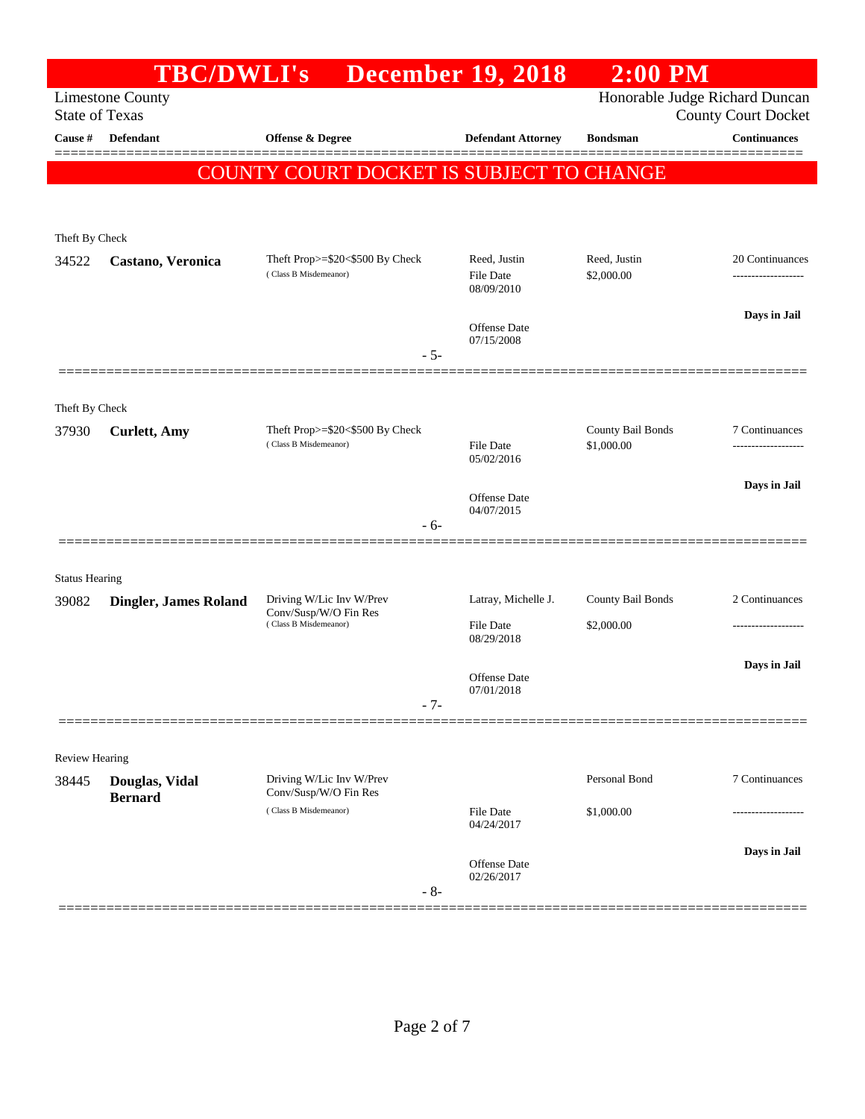|                       | <b>TBC/DWLI's</b>                |                                                                  | <b>December 19, 2018</b>          | $2:00$ PM                       |                            |
|-----------------------|----------------------------------|------------------------------------------------------------------|-----------------------------------|---------------------------------|----------------------------|
| <b>State of Texas</b> | <b>Limestone County</b>          |                                                                  |                                   | Honorable Judge Richard Duncan  | <b>County Court Docket</b> |
| Cause #               | Defendant                        | Offense & Degree                                                 | <b>Defendant Attorney</b>         | <b>Bondsman</b>                 | <b>Continuances</b>        |
|                       |                                  | COUNTY COURT DOCKET IS SUBJECT TO CHANGE                         |                                   |                                 |                            |
|                       |                                  |                                                                  |                                   |                                 |                            |
| Theft By Check        |                                  |                                                                  |                                   |                                 |                            |
| 34522                 | Castano, Veronica                | Theft Prop $>=$ \$20 $<$ \$500 By Check<br>(Class B Misdemeanor) | Reed, Justin<br>File Date         | Reed, Justin<br>\$2,000.00      | 20 Continuances            |
|                       |                                  |                                                                  | 08/09/2010                        |                                 | Days in Jail               |
|                       |                                  | $-5-$                                                            | <b>Offense</b> Date<br>07/15/2008 |                                 |                            |
|                       |                                  |                                                                  |                                   |                                 |                            |
| Theft By Check        |                                  |                                                                  |                                   |                                 |                            |
| 37930                 | <b>Curlett</b> , Amy             | Theft Prop>=\$20<\$500 By Check<br>(Class B Misdemeanor)         | <b>File Date</b>                  | County Bail Bonds<br>\$1,000.00 | 7 Continuances<br>         |
|                       |                                  |                                                                  | 05/02/2016                        |                                 | Days in Jail               |
|                       |                                  |                                                                  | <b>Offense</b> Date<br>04/07/2015 |                                 |                            |
|                       |                                  | - 6-                                                             |                                   |                                 |                            |
| <b>Status Hearing</b> |                                  |                                                                  |                                   |                                 |                            |
| 39082                 | <b>Dingler, James Roland</b>     | Driving W/Lic Inv W/Prev<br>Conv/Susp/W/O Fin Res                | Latray, Michelle J.               | County Bail Bonds               | 2 Continuances             |
|                       |                                  | (Class B Misdemeanor)                                            | File Date<br>08/29/2018           | \$2,000.00                      |                            |
|                       |                                  |                                                                  | <b>Offense</b> Date               |                                 | Days in Jail               |
|                       |                                  | - 7-                                                             | 07/01/2018                        |                                 |                            |
|                       |                                  |                                                                  |                                   |                                 |                            |
| <b>Review Hearing</b> |                                  |                                                                  |                                   |                                 |                            |
| 38445                 | Douglas, Vidal<br><b>Bernard</b> | Driving W/Lic Inv W/Prev<br>Conv/Susp/W/O Fin Res                |                                   | Personal Bond                   | 7 Continuances             |
|                       |                                  | (Class B Misdemeanor)                                            | File Date<br>04/24/2017           | \$1,000.00                      | ---------------            |
|                       |                                  |                                                                  | <b>Offense</b> Date               |                                 | Days in Jail               |
|                       |                                  | $-8-$                                                            | 02/26/2017                        |                                 |                            |
|                       |                                  |                                                                  |                                   |                                 |                            |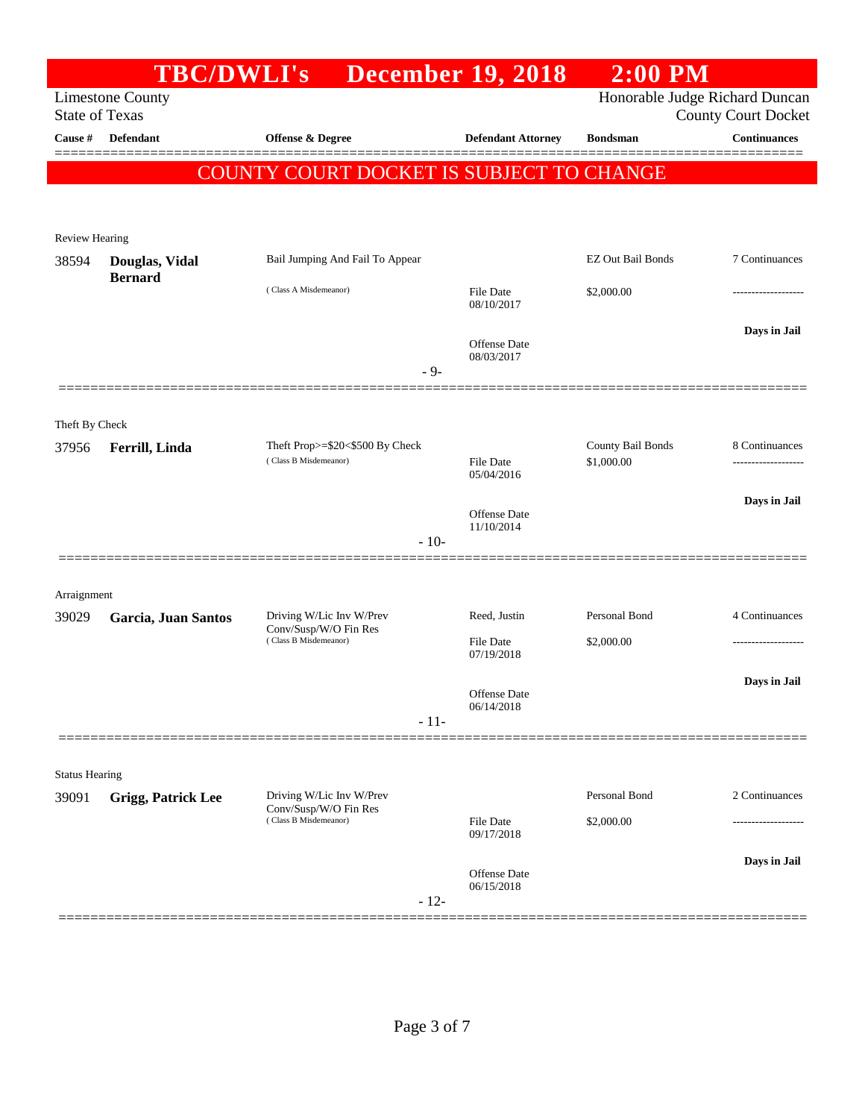|                       | <b>TBC/DWLI's</b>                |                                                                            |        | <b>December 19, 2018</b>                        | $2:00$ PM                       |                            |
|-----------------------|----------------------------------|----------------------------------------------------------------------------|--------|-------------------------------------------------|---------------------------------|----------------------------|
| <b>State of Texas</b> | <b>Limestone County</b>          |                                                                            |        |                                                 | Honorable Judge Richard Duncan  | <b>County Court Docket</b> |
| Cause #               | <b>Defendant</b>                 | <b>Offense &amp; Degree</b>                                                |        | <b>Defendant Attorney</b>                       | <b>Bondsman</b>                 | <b>Continuances</b>        |
|                       |                                  | COUNTY COURT DOCKET IS SUBJECT TO CHANGE                                   |        |                                                 |                                 |                            |
| <b>Review Hearing</b> |                                  |                                                                            |        |                                                 |                                 |                            |
| 38594                 | Douglas, Vidal<br><b>Bernard</b> | Bail Jumping And Fail To Appear                                            |        |                                                 | <b>EZ Out Bail Bonds</b>        | 7 Continuances             |
|                       |                                  | (Class A Misdemeanor)                                                      |        | <b>File Date</b><br>08/10/2017                  | \$2,000.00                      |                            |
|                       |                                  |                                                                            | $-9-$  | <b>Offense</b> Date<br>08/03/2017               |                                 | Days in Jail               |
| Theft By Check        |                                  |                                                                            |        |                                                 |                                 |                            |
| 37956                 | Ferrill, Linda                   | Theft Prop>=\$20<\$500 By Check<br>(Class B Misdemeanor)                   |        | <b>File Date</b>                                | County Bail Bonds<br>\$1,000.00 | 8 Continuances             |
|                       |                                  |                                                                            | $-10-$ | 05/04/2016<br><b>Offense</b> Date<br>11/10/2014 |                                 | Days in Jail               |
| Arraignment           |                                  |                                                                            |        |                                                 |                                 |                            |
| 39029                 | Garcia, Juan Santos              | Driving W/Lic Inv W/Prev<br>Conv/Susp/W/O Fin Res                          |        | Reed, Justin                                    | Personal Bond                   | 4 Continuances             |
|                       |                                  | (Class B Misdemeanor)                                                      |        | File Date<br>07/19/2018                         | \$2,000.00                      |                            |
|                       |                                  |                                                                            | $-11-$ | Offense Date<br>06/14/2018                      |                                 | Days in Jail               |
| <b>Status Hearing</b> |                                  |                                                                            |        |                                                 |                                 |                            |
| 39091                 | <b>Grigg, Patrick Lee</b>        | Driving W/Lic Inv W/Prev<br>Conv/Susp/W/O Fin Res<br>(Class B Misdemeanor) |        |                                                 | Personal Bond                   | 2 Continuances             |
|                       |                                  |                                                                            |        | File Date<br>09/17/2018                         | \$2,000.00                      |                            |
|                       |                                  |                                                                            | $-12-$ | Offense Date<br>06/15/2018                      |                                 | Days in Jail               |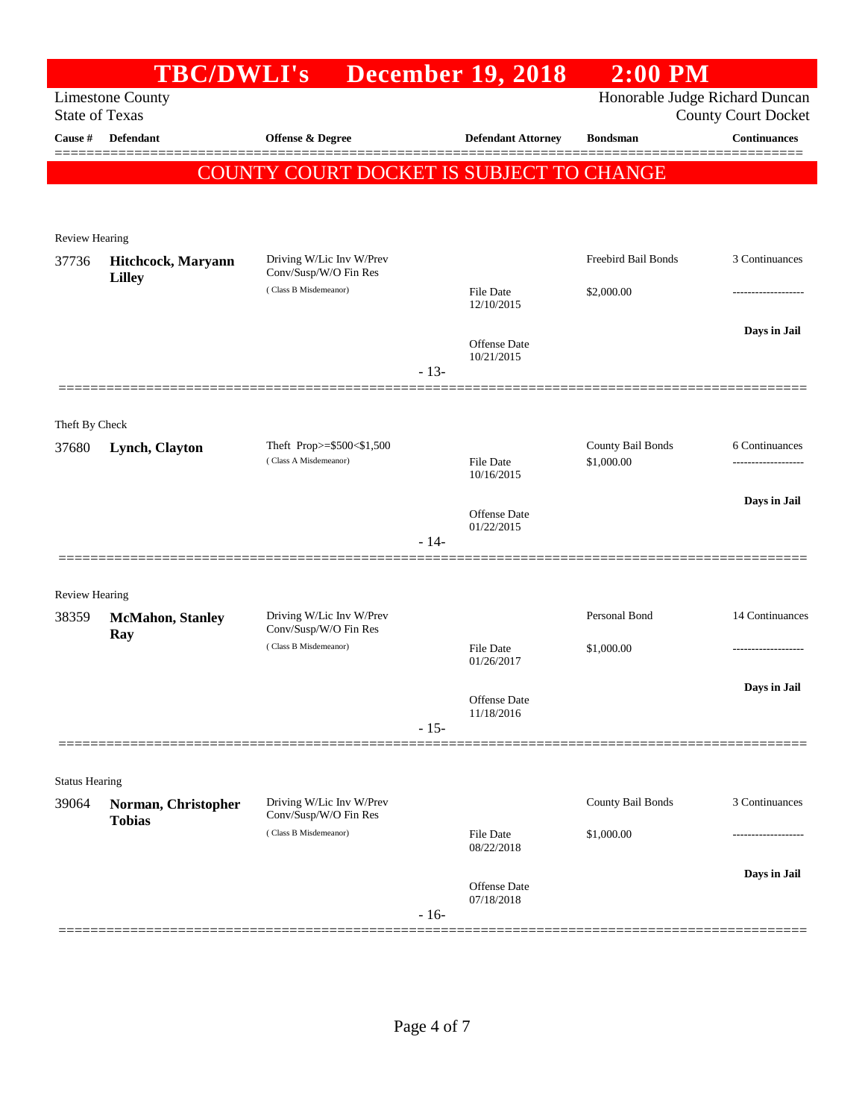|                                | <b>TBC/DWLI's</b>                   |                                                    |        | <b>December 19, 2018</b>              | $2:00$ PM                       |                                |
|--------------------------------|-------------------------------------|----------------------------------------------------|--------|---------------------------------------|---------------------------------|--------------------------------|
|                                | <b>Limestone County</b>             |                                                    |        |                                       |                                 | Honorable Judge Richard Duncan |
| <b>State of Texas</b>          |                                     |                                                    |        |                                       |                                 | <b>County Court Docket</b>     |
| Cause #                        | <b>Defendant</b>                    | <b>Offense &amp; Degree</b>                        |        | <b>Defendant Attorney</b>             | <b>Bondsman</b>                 | <b>Continuances</b>            |
|                                |                                     | COUNTY COURT DOCKET IS SUBJECT TO CHANGE           |        |                                       |                                 |                                |
|                                |                                     |                                                    |        |                                       |                                 |                                |
|                                |                                     |                                                    |        |                                       |                                 |                                |
| <b>Review Hearing</b><br>37736 |                                     | Driving W/Lic Inv W/Prev                           |        |                                       | Freebird Bail Bonds             | 3 Continuances                 |
|                                | Hitchcock, Maryann<br><b>Lilley</b> | Conv/Susp/W/O Fin Res                              |        |                                       |                                 |                                |
|                                |                                     | (Class B Misdemeanor)                              |        | File Date<br>12/10/2015               | \$2,000.00                      |                                |
|                                |                                     |                                                    |        |                                       |                                 | Days in Jail                   |
|                                |                                     |                                                    |        | Offense Date<br>10/21/2015            |                                 |                                |
|                                |                                     |                                                    | $-13-$ |                                       |                                 |                                |
|                                |                                     |                                                    |        |                                       |                                 |                                |
| Theft By Check                 |                                     |                                                    |        |                                       |                                 |                                |
| 37680                          | Lynch, Clayton                      | Theft Prop>=\$500<\$1,500<br>(Class A Misdemeanor) |        | File Date                             | County Bail Bonds<br>\$1,000.00 | 6 Continuances                 |
|                                |                                     |                                                    |        | 10/16/2015                            |                                 |                                |
|                                |                                     |                                                    |        |                                       |                                 | Days in Jail                   |
|                                |                                     |                                                    |        | Offense Date<br>01/22/2015            |                                 |                                |
|                                |                                     |                                                    | $-14-$ |                                       |                                 |                                |
|                                |                                     |                                                    |        |                                       |                                 |                                |
| <b>Review Hearing</b>          |                                     | Driving W/Lic Inv W/Prev                           |        |                                       | Personal Bond                   | 14 Continuances                |
| 38359                          | <b>McMahon</b> , Stanley<br>Ray     | Conv/Susp/W/O Fin Res                              |        |                                       |                                 |                                |
|                                |                                     | (Class B Misdemeanor)                              |        | File Date<br>\$1,000.00<br>01/26/2017 |                                 |                                |
|                                |                                     |                                                    |        |                                       |                                 | Days in Jail                   |
|                                |                                     |                                                    |        | Offense Date<br>11/18/2016            |                                 |                                |
|                                |                                     |                                                    | $-15-$ |                                       |                                 |                                |
|                                |                                     |                                                    |        |                                       |                                 |                                |
| <b>Status Hearing</b>          |                                     |                                                    |        |                                       |                                 |                                |
| 39064                          | Norman, Christopher                 | Driving W/Lic Inv W/Prev<br>Conv/Susp/W/O Fin Res  |        |                                       | County Bail Bonds               | 3 Continuances                 |
|                                | <b>Tobias</b>                       | (Class B Misdemeanor)                              |        | File Date                             | \$1,000.00                      |                                |
|                                |                                     |                                                    |        | 08/22/2018                            |                                 |                                |
|                                |                                     |                                                    |        | Offense Date                          |                                 | Days in Jail                   |
|                                |                                     |                                                    | $-16-$ | 07/18/2018                            |                                 |                                |
|                                |                                     |                                                    |        |                                       |                                 |                                |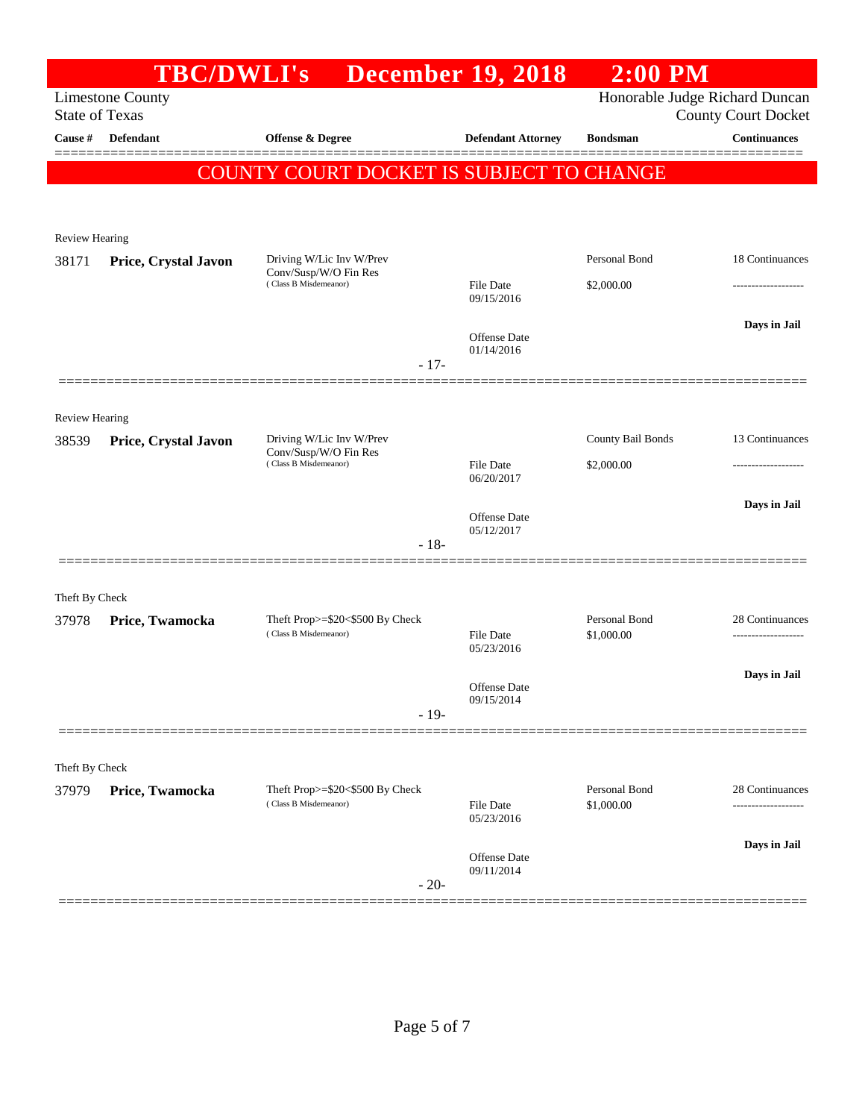|                                | <b>TBC/DWLI's</b>       |                                                                            | <b>December 19, 2018</b>          | $2:00$ PM                   |                                                              |
|--------------------------------|-------------------------|----------------------------------------------------------------------------|-----------------------------------|-----------------------------|--------------------------------------------------------------|
| <b>State of Texas</b>          | <b>Limestone County</b> |                                                                            |                                   |                             | Honorable Judge Richard Duncan<br><b>County Court Docket</b> |
| Cause #                        | Defendant               | Offense & Degree                                                           | <b>Defendant Attorney</b>         | <b>Bondsman</b>             | <b>Continuances</b>                                          |
|                                |                         | <b>COUNTY COURT DOCKET IS SUBJECT TO CHANGE</b>                            |                                   |                             |                                                              |
|                                |                         |                                                                            |                                   |                             |                                                              |
| <b>Review Hearing</b>          |                         |                                                                            |                                   |                             |                                                              |
| 38171                          | Price, Crystal Javon    | Driving W/Lic Inv W/Prev<br>Conv/Susp/W/O Fin Res<br>(Class B Misdemeanor) | <b>File Date</b><br>09/15/2016    | Personal Bond<br>\$2,000.00 | 18 Continuances                                              |
|                                |                         | $-17-$                                                                     | <b>Offense</b> Date<br>01/14/2016 |                             | Days in Jail                                                 |
|                                |                         |                                                                            |                                   |                             |                                                              |
| <b>Review Hearing</b><br>38539 | Price, Crystal Javon    | Driving W/Lic Inv W/Prev                                                   |                                   | County Bail Bonds           | 13 Continuances                                              |
|                                |                         | Conv/Susp/W/O Fin Res<br>(Class B Misdemeanor)                             | <b>File Date</b><br>06/20/2017    | \$2,000.00                  |                                                              |
|                                |                         |                                                                            | Offense Date                      |                             | Days in Jail                                                 |
|                                |                         | $-18-$                                                                     | 05/12/2017                        |                             |                                                              |
| Theft By Check                 |                         |                                                                            |                                   |                             |                                                              |
| 37978                          | Price, Twamocka         | Theft Prop>=\$20<\$500 By Check<br>(Class B Misdemeanor)                   | <b>File Date</b><br>05/23/2016    | Personal Bond<br>\$1,000.00 | 28 Continuances<br>----------------                          |
|                                |                         |                                                                            |                                   |                             | Days in Jail                                                 |
|                                |                         | $-19-$                                                                     | Offense Date<br>09/15/2014        |                             |                                                              |
|                                |                         |                                                                            |                                   |                             |                                                              |
| Theft By Check                 |                         |                                                                            |                                   |                             |                                                              |
| 37979                          | Price, Twamocka         | Theft Prop>=\$20<\$500 By Check<br>(Class B Misdemeanor)                   | <b>File Date</b><br>05/23/2016    | Personal Bond<br>\$1,000.00 | 28 Continuances                                              |
|                                |                         |                                                                            | Offense Date                      |                             | Days in Jail                                                 |
|                                |                         | $-20-$                                                                     | 09/11/2014                        |                             |                                                              |
|                                |                         |                                                                            |                                   |                             |                                                              |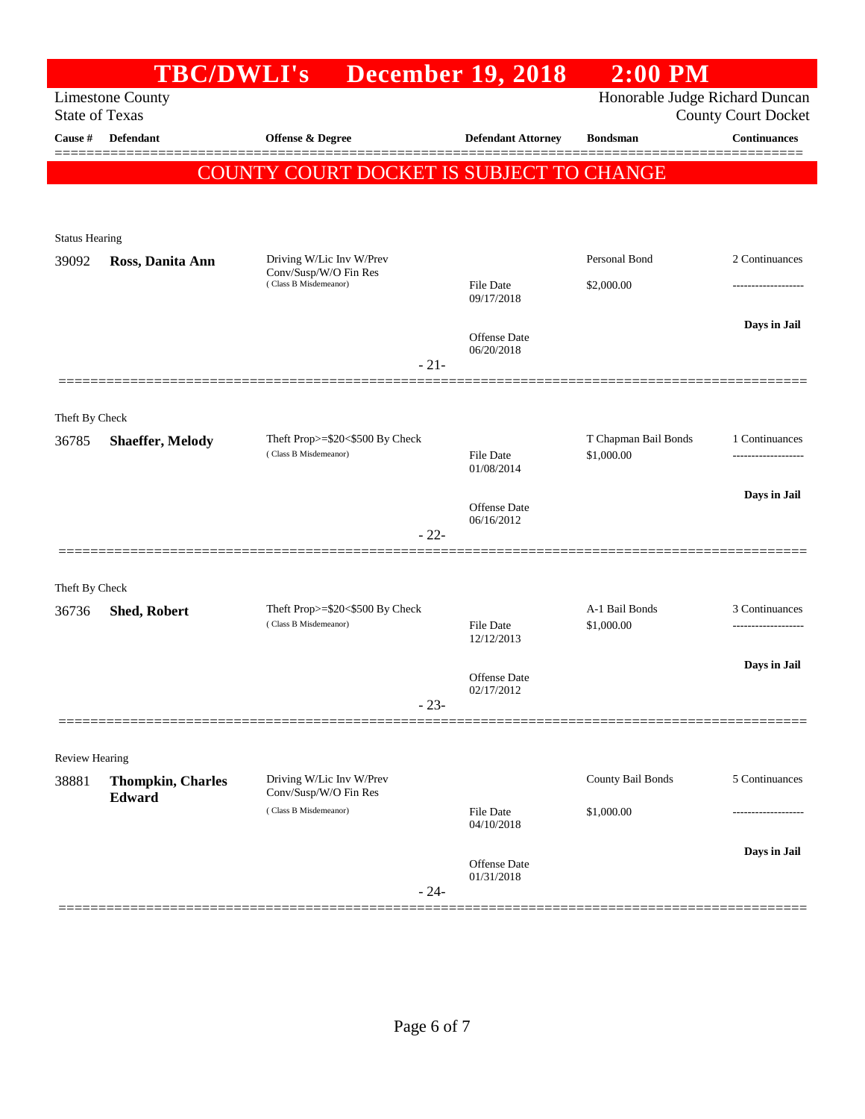| <b>State of Texas</b>   | <b>TBC/DWLI's</b><br><b>Limestone County</b> |                                                   | <b>December 19, 2018</b>          | Honorable Judge Richard Duncan |                            |
|-------------------------|----------------------------------------------|---------------------------------------------------|-----------------------------------|--------------------------------|----------------------------|
|                         |                                              |                                                   |                                   |                                | <b>County Court Docket</b> |
| Cause #                 | Defendant                                    | Offense & Degree                                  | <b>Defendant Attorney</b>         | <b>Bondsman</b>                | <b>Continuances</b>        |
|                         |                                              | <b>COUNTY COURT DOCKET IS SUBJECT TO CHANGE</b>   |                                   |                                |                            |
|                         |                                              |                                                   |                                   |                                |                            |
| <b>Status Hearing</b>   |                                              |                                                   |                                   |                                |                            |
| 39092                   | Ross, Danita Ann                             | Driving W/Lic Inv W/Prev                          |                                   | Personal Bond                  | 2 Continuances             |
|                         |                                              | Conv/Susp/W/O Fin Res<br>(Class B Misdemeanor)    | <b>File Date</b><br>09/17/2018    | \$2,000.00                     |                            |
|                         |                                              |                                                   |                                   |                                | Days in Jail               |
|                         |                                              |                                                   | <b>Offense Date</b><br>06/20/2018 |                                |                            |
|                         |                                              | $-21-$                                            |                                   |                                |                            |
|                         |                                              |                                                   |                                   |                                |                            |
| Theft By Check<br>36785 | <b>Shaeffer, Melody</b>                      | Theft Prop>=\$20<\$500 By Check                   |                                   | T Chapman Bail Bonds           | 1 Continuances             |
|                         |                                              | (Class B Misdemeanor)                             | <b>File Date</b><br>01/08/2014    | \$1,000.00                     |                            |
|                         |                                              |                                                   |                                   |                                | Days in Jail               |
|                         |                                              |                                                   | <b>Offense Date</b><br>06/16/2012 |                                |                            |
|                         |                                              | $-22-$                                            |                                   |                                |                            |
| Theft By Check          |                                              |                                                   |                                   |                                |                            |
| 36736                   | <b>Shed, Robert</b>                          | Theft Prop>=\$20<\$500 By Check                   |                                   | A-1 Bail Bonds                 | 3 Continuances             |
|                         |                                              | (Class B Misdemeanor)                             | <b>File Date</b><br>12/12/2013    | \$1,000.00                     | ------------------         |
|                         |                                              |                                                   | <b>Offense Date</b>               |                                | Days in Jail               |
|                         |                                              | $-23-$                                            | 02/17/2012                        |                                |                            |
|                         |                                              |                                                   |                                   |                                |                            |
| Review Hearing          |                                              |                                                   |                                   |                                |                            |
| 38881                   | <b>Thompkin, Charles</b>                     | Driving W/Lic Inv W/Prev<br>Conv/Susp/W/O Fin Res |                                   | County Bail Bonds              | 5 Continuances             |
|                         | Edward                                       | (Class B Misdemeanor)                             | <b>File Date</b><br>04/10/2018    | \$1,000.00                     | ----------------           |
|                         |                                              |                                                   |                                   |                                | Days in Jail               |
|                         |                                              |                                                   | Offense Date<br>01/31/2018        |                                |                            |
|                         |                                              | $-24-$                                            |                                   |                                |                            |